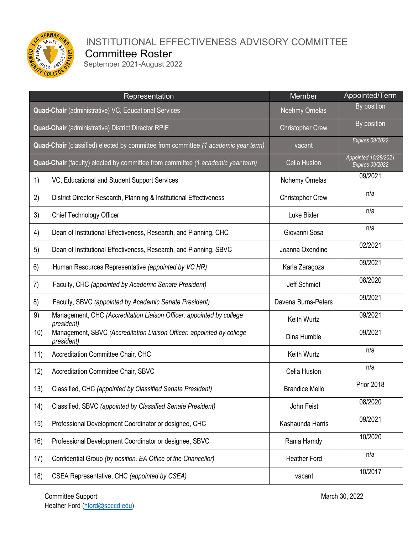

## **WALLEY YOU INSTITUTIONAL EFFECTIVENESS ADVISORY COMMITTEE**

Committee Roster<br>
September 2021-August 2022

|                                                                                    | Representation                                                                      | Member                  | Appointed/Term                          |
|------------------------------------------------------------------------------------|-------------------------------------------------------------------------------------|-------------------------|-----------------------------------------|
| <b>Quad-Chair</b> (administrative) VC, Educational Services                        |                                                                                     | Noehmy Ornelas          | By position                             |
| Quad-Chair (administrative) District Director RPIE                                 |                                                                                     | <b>Christopher Crew</b> | By position                             |
| Quad-Chair (classified) elected by committee from committee (1 academic year term) |                                                                                     | vacant                  | <b>Expires 09/2022</b>                  |
| Quad-Chair (faculty) elected by committee from committee (1 academic year term)    |                                                                                     | Celia Huston            | Appointed 10/28/2021<br>Expires 09/2022 |
| 1)                                                                                 | VC, Educational and Student Support Services                                        | Nohemy Ornelas          | 09/2021                                 |
| 2)                                                                                 | District Director Research, Planning & Institutional Effectiveness                  | <b>Christopher Crew</b> | n/a                                     |
| 3)                                                                                 | Chief Technology Officer                                                            | Luke Bixler             | n/a                                     |
| 4)                                                                                 | Dean of Institutional Effectiveness, Research, and Planning, CHC                    | Giovanni Sosa           | n/a                                     |
| 5)                                                                                 | Dean of Institutional Effectiveness, Research, and Planning, SBVC                   | Joanna Oxendine         | 02/2021                                 |
| 6)                                                                                 | Human Resources Representative (appointed by VC HR)                                 | Karla Zaragoza          | 09/2021                                 |
| 7)                                                                                 | Faculty, CHC (appointed by Academic Senate President)                               | Jeff Schmidt            | 08/2020                                 |
| 8)                                                                                 | Faculty, SBVC (appointed by Academic Senate President)                              | Davena Burns-Peters     | 09/2021                                 |
| 9)                                                                                 | Management, CHC (Accreditation Liaison Officer. appointed by college<br>president)  | Keith Wurtz             | 09/2021                                 |
| 10)                                                                                | Management, SBVC (Accreditation Liaison Officer. appointed by college<br>president) | Dina Humble             | 09/2021                                 |
| 11)                                                                                | Accreditation Committee Chair, CHC                                                  | Keith Wurtz             | n/a                                     |
| 12)                                                                                | Accreditation Committee Chair, SBVC                                                 | Celia Huston            | n/a                                     |
| 13)                                                                                | Classified, CHC (appointed by Classified Senate President)                          | <b>Brandice Mello</b>   | <b>Prior 2018</b>                       |
| (14)                                                                               | Classified, SBVC (appointed by Classified Senate President)                         | John Feist              | 08/2020                                 |
| 15)                                                                                | Professional Development Coordinator or designee, CHC                               | Kashaunda Harris        | 09/2021                                 |
| 16)                                                                                | Professional Development Coordinator or designee, SBVC                              | Rania Hamdy             | 10/2020                                 |
| 17)                                                                                | Confidential Group (by position, EA Office of the Chancellor)                       | <b>Heather Ford</b>     | n/a                                     |
| 18)                                                                                | CSEA Representative, CHC (appointed by CSEA)                                        | vacant                  | 10/2017                                 |